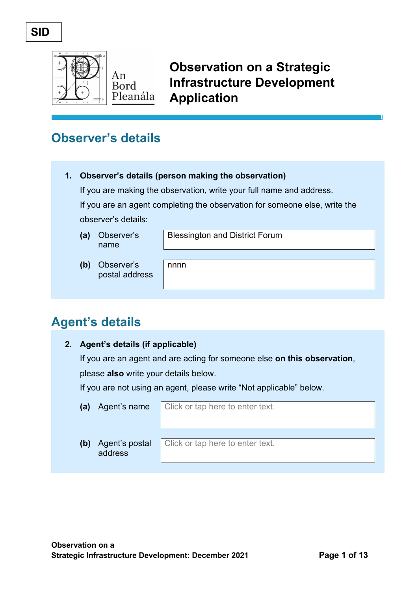## **SID**



**Observation on a Strategic Infrastructure Development Application**

# **Observer's details**

### **1. Observer's details (person making the observation)**

nnnn

If you are making the observation, write your full name and address.

If you are an agent completing the observation for someone else, write the observer's details:

**(a)** Observer's name

Blessington and District Forum

**(b)** Observer's postal address

# **Agent's details**

### **2. Agent's details (if applicable)**

If you are an agent and are acting for someone else **on this observation**, please **also** write your details below.

If you are not using an agent, please write "Not applicable" below.

**(a)** Agent's name Click or tap here to enter text.

**(b)** Agent's postal address

Click or tap here to enter text.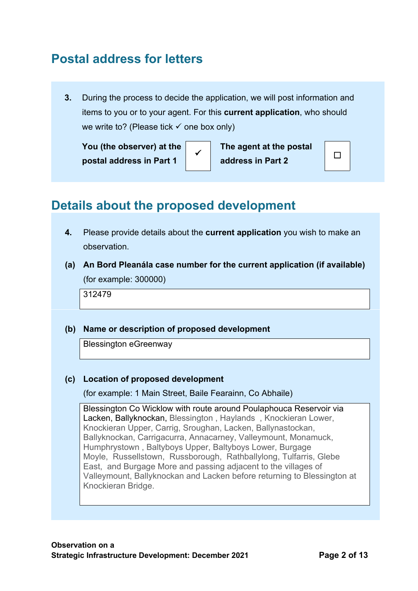# **Postal address for letters**

**3.** During the process to decide the application, we will post information and items to you or to your agent. For this **current application**, who should we write to? (Please tick  $\checkmark$  one box only)

**You (the observer) at the postal address in Part 1**

<sup>ü</sup> **The agent at the postal address in Part 2** ☐

# **Details about the proposed development**

- **4.** Please provide details about the **current application** you wish to make an observation.
- **(a) An Bord Pleanála case number for the current application (if available)** (for example: 300000)

312479

### **(b) Name or description of proposed development**

Blessington eGreenway

### **(c) Location of proposed development**

(for example: 1 Main Street, Baile Fearainn, Co Abhaile)

Blessington Co Wicklow with route around Poulaphouca Reservoir via Lacken, Ballyknockan, Blessington , Haylands , Knockieran Lower, Knockieran Upper, Carrig, Sroughan, Lacken, Ballynastockan, Ballyknockan, Carrigacurra, Annacarney, Valleymount, Monamuck, Humphrystown , Baltyboys Upper, Baltyboys Lower, Burgage Moyle, Russellstown, Russborough, Rathballylong, Tulfarris, Glebe East, and Burgage More and passing adjacent to the villages of Valleymount, Ballyknockan and Lacken before returning to Blessington at Knockieran Bridge.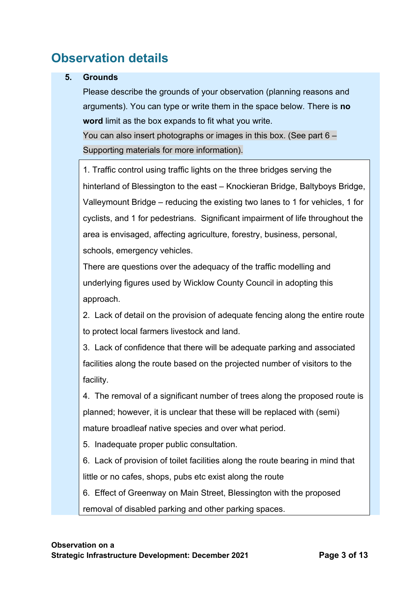# **Observation details**

### **5. Grounds**

Please describe the grounds of your observation (planning reasons and arguments). You can type or write them in the space below. There is **no word** limit as the box expands to fit what you write.

You can also insert photographs or images in this box. (See part 6 – Supporting materials for more information).

1. Traffic control using traffic lights on the three bridges serving the hinterland of Blessington to the east – Knockieran Bridge, Baltyboys Bridge, Valleymount Bridge – reducing the existing two lanes to 1 for vehicles, 1 for cyclists, and 1 for pedestrians. Significant impairment of life throughout the area is envisaged, affecting agriculture, forestry, business, personal, schools, emergency vehicles.

There are questions over the adequacy of the traffic modelling and underlying figures used by Wicklow County Council in adopting this approach.

2. Lack of detail on the provision of adequate fencing along the entire route to protect local farmers livestock and land.

3. Lack of confidence that there will be adequate parking and associated facilities along the route based on the projected number of visitors to the facility.

4. The removal of a significant number of trees along the proposed route is planned; however, it is unclear that these will be replaced with (semi) mature broadleaf native species and over what period.

5. Inadequate proper public consultation.

6. Lack of provision of toilet facilities along the route bearing in mind that little or no cafes, shops, pubs etc exist along the route

6. Effect of Greenway on Main Street, Blessington with the proposed

removal of disabled parking and other parking spaces.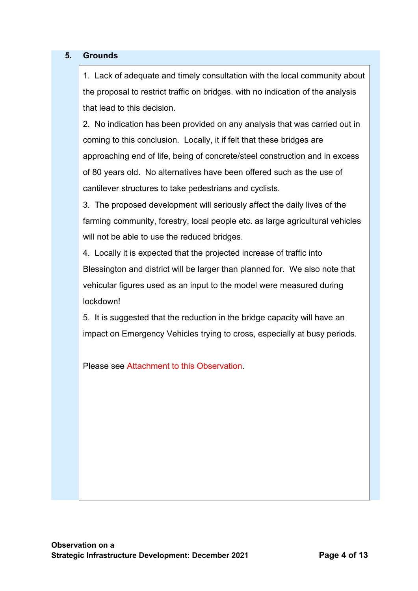### **5. Grounds**

1. Lack of adequate and timely consultation with the local community about the proposal to restrict traffic on bridges. with no indication of the analysis that lead to this decision.

2. No indication has been provided on any analysis that was carried out in coming to this conclusion. Locally, it if felt that these bridges are approaching end of life, being of concrete/steel construction and in excess of 80 years old. No alternatives have been offered such as the use of cantilever structures to take pedestrians and cyclists.

3. The proposed development will seriously affect the daily lives of the farming community, forestry, local people etc. as large agricultural vehicles will not be able to use the reduced bridges.

4. Locally it is expected that the projected increase of traffic into Blessington and district will be larger than planned for. We also note that vehicular figures used as an input to the model were measured during lockdown!

5. It is suggested that the reduction in the bridge capacity will have an impact on Emergency Vehicles trying to cross, especially at busy periods.

Please see Attachment to this Observation.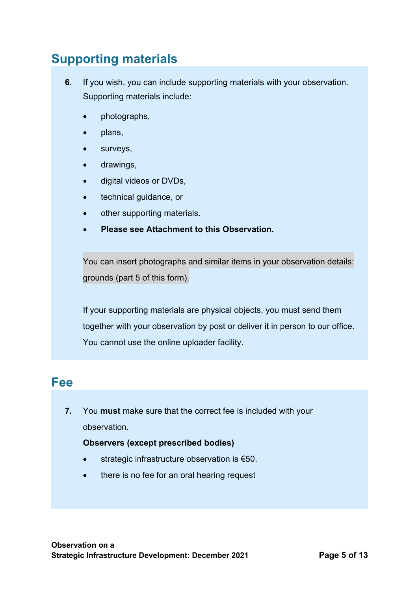# **Supporting materials**

- **6.** If you wish, you can include supporting materials with your observation. Supporting materials include:
	- photographs,
	- plans,
	- surveys,
	- drawings,
	- digital videos or DVDs,
	- technical guidance, or
	- other supporting materials.
	- **Please see Attachment to this Observation.**

You can insert photographs and similar items in your observation details: grounds (part 5 of this form).

If your supporting materials are physical objects, you must send them together with your observation by post or deliver it in person to our office. You cannot use the online uploader facility.

## **Fee**

**7.** You **must** make sure that the correct fee is included with your observation.

### **Observers (except prescribed bodies)**

- strategic infrastructure observation is €50.
- there is no fee for an oral hearing request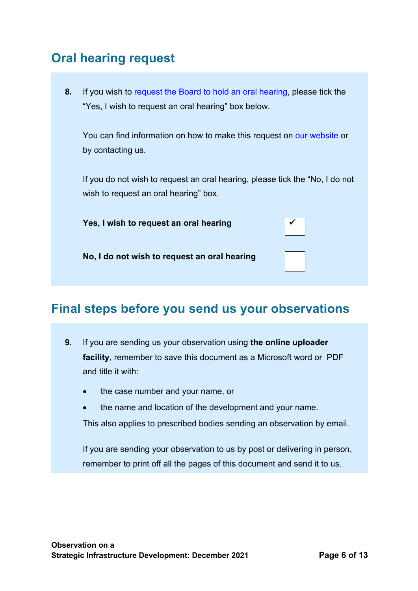# **Oral hearing request**

**8.** If you wish to request the Board to hold an oral hearing, please tick the "Yes, I wish to request an oral hearing" box below.

You can find information on how to make this request on our website or by contacting us.

If you do not wish to request an oral hearing, please tick the "No, I do not wish to request an oral hearing" box.

**Yes, I wish to request an oral hearing** 



**No, I do not wish to request an oral hearing**

# **Final steps before you send us your observations**

- **9.** If you are sending us your observation using **the online uploader facility**, remember to save this document as a Microsoft word or PDF and title it with:
	- the case number and your name, or
	- the name and location of the development and your name.

This also applies to prescribed bodies sending an observation by email.

If you are sending your observation to us by post or delivering in person, remember to print off all the pages of this document and send it to us.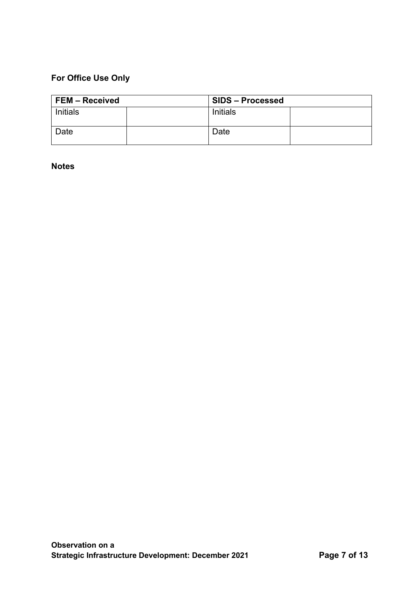## **For Office Use Only**

| <b>FEM - Received</b> |  | <b>SIDS - Processed</b> |  |
|-----------------------|--|-------------------------|--|
| <b>Initials</b>       |  | Initials                |  |
| Date                  |  | Date                    |  |

**Notes**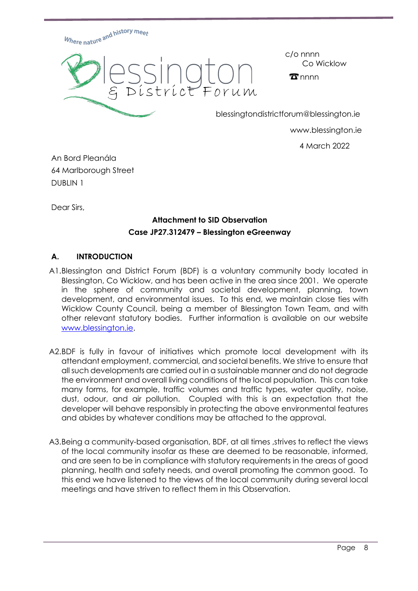

c/o nnnn Co Wicklow

 $\mathbf{\overline{x}}$ nnnn

blessingtondistrictforum@blessington.ie

www.blessington.ie

4 March 2022

An Bord Pleanála 64 Marlborough Street DUBLIN 1

Dear Sirs,

### **Attachment to SID Observation Case JP27.312479 – Blessington eGreenway**

### **A. INTRODUCTION**

- A1.Blessington and District Forum (BDF) is a voluntary community body located in Blessington, Co Wicklow, and has been active in the area since 2001. We operate in the sphere of community and societal development, planning, town development, and environmental issues. To this end, we maintain close ties with Wicklow County Council, being a member of Blessington Town Team, and with other relevant statutory bodies. Further information is available on our website www.blessington.ie.
- A2.BDF is fully in favour of initiatives which promote local development with its attendant employment, commercial, and societal benefits. We strive to ensure that all such developments are carried out in a sustainable manner and do not degrade the environment and overall living conditions of the local population. This can take many forms, for example, traffic volumes and traffic types, water quality, noise, dust, odour, and air pollution. Coupled with this is an expectation that the developer will behave responsibly in protecting the above environmental features and abides by whatever conditions may be attached to the approval.
- A3.Being a community-based organisation, BDF, at all times ,strives to reflect the views of the local community insofar as these are deemed to be reasonable, informed, and are seen to be in compliance with statutory requirements in the areas of good planning, health and safety needs, and overall promoting the common good. To this end we have listened to the views of the local community during several local meetings and have striven to reflect them in this Observation.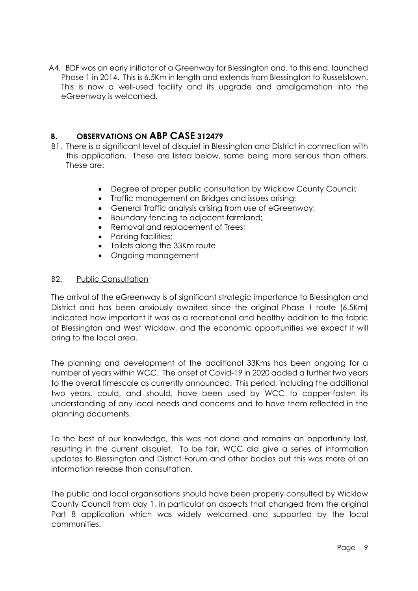A4. BDF was an early initiator of a Greenway for Blessington and, to this end, launched Phase 1 in 2014. This is 6.5Km in length and extends from Blessington to Russelstown. This is now a well-used facility and its upgrade and amalgamation into the eGreenway is welcomed.

### **B. OBSERVATIONS ON ABP CASE 312479**

- B1. There is a significant level of disquiet in Blessington and District in connection with this application. These are listed below, some being more serious than others. These are:
	- Degree of proper public consultation by Wicklow County Council:
	- Traffic management on Bridges and issues arising;
	- General Traffic analysis arising from use of eGreenway;
	- Boundary fencing to adjacent farmland;
	- Removal and replacement of Trees;
	- Parking facilities;
	- Toilets along the 33Km route
	- Ongoing management

### B2. Public Consultation

The arrival of the eGreenway is of significant strategic importance to Blessington and District and has been anxiously awaited since the original Phase 1 route (6.5Km) indicated how important it was as a recreational and healthy addition to the fabric of Blessington and West Wicklow, and the economic opportunities we expect it will bring to the local area.

The planning and development of the additional 33Kms has been ongoing for a number of years within WCC. The onset of Covid-19 in 2020 added a further two years to the overall timescale as currently announced. This period, including the additional two years, could, and should, have been used by WCC to copper-fasten its understanding of any local needs and concerns and to have them reflected in the planning documents.

To the best of our knowledge, this was not done and remains an opportunity lost, resulting in the current disquiet. To be fair, WCC did give a series of information updates to Blessington and District Forum and other bodies but this was more of an information release than consultation.

The public and local organisations should have been properly consulted by Wicklow County Council from day 1, in particular on aspects that changed from the original Part 8 application which was widely welcomed and supported by the local communities.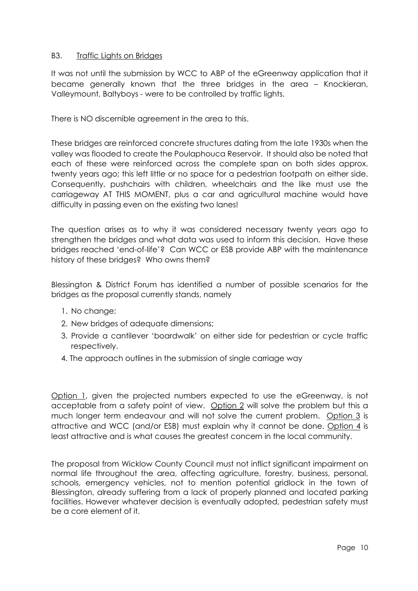### B3. Traffic Lights on Bridges

It was not until the submission by WCC to ABP of the eGreenway application that it became generally known that the three bridges in the area – Knockieran, Valleymount, Baltyboys - were to be controlled by traffic lights.

There is NO discernible agreement in the area to this.

These bridges are reinforced concrete structures dating from the late 1930s when the valley was flooded to create the Poulaphouca Reservoir. It should also be noted that each of these were reinforced across the complete span on both sides approx. twenty years ago; this left little or no space for a pedestrian footpath on either side. Consequently, pushchairs with children, wheelchairs and the like must use the carriageway AT THIS MOMENT, plus a car and agricultural machine would have difficulty in passing even on the existing two lanes!

The question arises as to why it was considered necessary twenty years ago to strengthen the bridges and what data was used to inform this decision. Have these bridges reached 'end-of-life'? Can WCC or ESB provide ABP with the maintenance history of these bridges? Who owns them?

Blessington & District Forum has identified a number of possible scenarios for the bridges as the proposal currently stands, namely

- 1. No change;
- 2. New bridges of adequate dimensions;
- 3. Provide a cantilever 'boardwalk' on either side for pedestrian or cycle traffic respectively.
- 4. The approach outlines in the submission of single carriage way

Option 1, given the projected numbers expected to use the eGreenway, is not acceptable from a safety point of view. Option 2 will solve the problem but this a much longer term endeavour and will not solve the current problem. Option 3 is attractive and WCC (and/or ESB) must explain why it cannot be done. Option 4 is least attractive and is what causes the greatest concern in the local community.

The proposal from Wicklow County Council must not inflict significant impairment on normal life throughout the area, affecting agriculture, forestry, business, personal, schools, emergency vehicles, not to mention potential gridlock in the town of Blessington, already suffering from a lack of properly planned and located parking facilities. However whatever decision is eventually adopted, pedestrian safety must be a core element of it.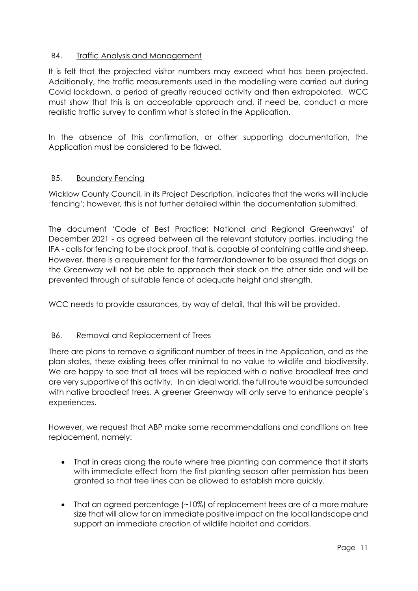### B4. Traffic Analysis and Management

It is felt that the projected visitor numbers may exceed what has been projected. Additionally, the traffic measurements used in the modelling were carried out during Covid lockdown, a period of greatly reduced activity and then extrapolated. WCC must show that this is an acceptable approach and, if need be, conduct a more realistic traffic survey to confirm what is stated in the Application.

In the absence of this confirmation, or other supporting documentation, the Application must be considered to be flawed.

### B5. Boundary Fencing

Wicklow County Council, in its Project Description, indicates that the works will include 'fencing'; however, this is not further detailed within the documentation submitted.

The document 'Code of Best Practice: National and Regional Greenways' of December 2021 - as agreed between all the relevant statutory parties, including the IFA - calls for fencing to be stock proof, that is, capable of containing cattle and sheep. However, there is a requirement for the farmer/landowner to be assured that dogs on the Greenway will not be able to approach their stock on the other side and will be prevented through of suitable fence of adequate height and strength.

WCC needs to provide assurances, by way of detail, that this will be provided.

### B6. Removal and Replacement of Trees

There are plans to remove a significant number of trees in the Application, and as the plan states, these existing trees offer minimal to no value to wildlife and biodiversity. We are happy to see that all trees will be replaced with a native broadleaf tree and are very supportive of this activity. In an ideal world, the full route would be surrounded with native broadleaf trees. A greener Greenway will only serve to enhance people's experiences.

However, we request that ABP make some recommendations and conditions on tree replacement, namely:

- That in areas along the route where tree planting can commence that it starts with immediate effect from the first planting season after permission has been granted so that tree lines can be allowed to establish more quickly.
- That an agreed percentage (~10%) of replacement trees are of a more mature size that will allow for an immediate positive impact on the local landscape and support an immediate creation of wildlife habitat and corridors.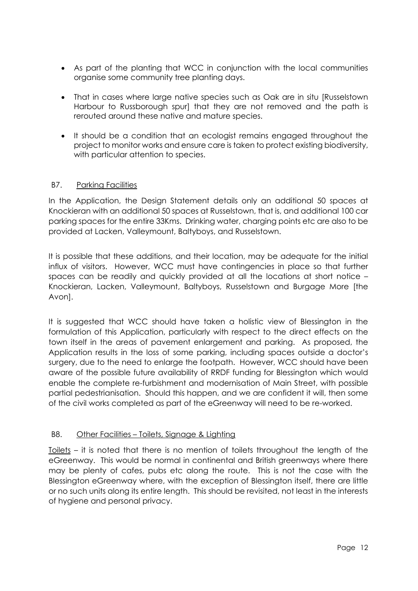- As part of the planting that WCC in conjunction with the local communities organise some community tree planting days.
- That in cases where large native species such as Oak are in situ [Russelstown Harbour to Russborough spur] that they are not removed and the path is rerouted around these native and mature species.
- It should be a condition that an ecologist remains engaged throughout the project to monitor works and ensure care is taken to protect existing biodiversity, with particular attention to species.

### B7. Parking Facilities

In the Application, the Design Statement details only an additional 50 spaces at Knockieran with an additional 50 spaces at Russelstown, that is, and additional 100 car parking spaces for the entire 33Kms. Drinking water, charging points etc are also to be provided at Lacken, Valleymount, Baltyboys, and Russelstown.

It is possible that these additions, and their location, may be adequate for the initial influx of visitors. However, WCC must have contingencies in place so that further spaces can be readily and quickly provided at all the locations at short notice – Knockieran, Lacken, Valleymount, Baltyboys, Russelstown and Burgage More [the Avon].

It is suggested that WCC should have taken a holistic view of Blessington in the formulation of this Application, particularly with respect to the direct effects on the town itself in the areas of pavement enlargement and parking. As proposed, the Application results in the loss of some parking, including spaces outside a doctor's surgery, due to the need to enlarge the footpath. However, WCC should have been aware of the possible future availability of RRDF funding for Blessington which would enable the complete re-furbishment and modernisation of Main Street, with possible partial pedestrianisation. Should this happen, and we are confident it will, then some of the civil works completed as part of the eGreenway will need to be re-worked.

### B8. Other Facilities – Toilets, Signage & Lighting

Toilets – it is noted that there is no mention of toilets throughout the length of the eGreenway. This would be normal in continental and British greenways where there may be plenty of cafes, pubs etc along the route. This is not the case with the Blessington eGreenway where, with the exception of Blessington itself, there are little or no such units along its entire length. This should be revisited, not least in the interests of hygiene and personal privacy.